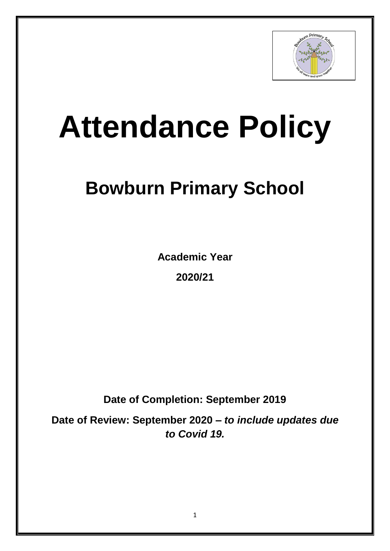

# **Attendance Policy**

# **Bowburn Primary School**

**Academic Year** 

**2020/21**

**Date of Completion: September 2019**

**Date of Review: September 2020 –** *to include updates due to Covid 19.*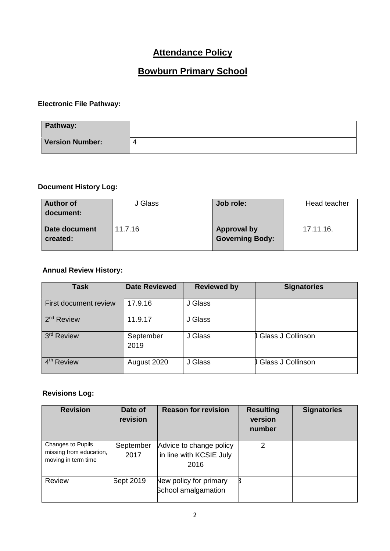## **Attendance Policy**

# **Bowburn Primary School**

#### **Electronic File Pathway:**

| Pathway:               |  |
|------------------------|--|
| <b>Version Number:</b> |  |

#### **Document History Log:**

| <b>Author of</b> | J Glass | Job role:              | Head teacher |
|------------------|---------|------------------------|--------------|
| document:        |         |                        |              |
|                  |         |                        |              |
| Date document    | 11.7.16 | <b>Approval by</b>     | 17.11.16.    |
| created:         |         | <b>Governing Body:</b> |              |
|                  |         |                        |              |

#### **Annual Review History:**

| <b>Task</b>            | <b>Date Reviewed</b> | <b>Reviewed by</b> | <b>Signatories</b>  |
|------------------------|----------------------|--------------------|---------------------|
| First document review  | 17.9.16              | J Glass            |                     |
| 2 <sup>nd</sup> Review | 11.9.17              | J Glass            |                     |
| 3 <sup>rd</sup> Review | September<br>2019    | J Glass            | J Glass J Collinson |
| 4 <sup>th</sup> Review | August 2020          | J Glass            | J Glass J Collinson |

#### **Revisions Log:**

| <b>Revision</b>                                                     | Date of<br>revision | <b>Reason for revision</b>                                 | <b>Resulting</b><br>version<br>number | <b>Signatories</b> |
|---------------------------------------------------------------------|---------------------|------------------------------------------------------------|---------------------------------------|--------------------|
| Changes to Pupils<br>missing from education,<br>moving in term time | September<br>2017   | Advice to change policy<br>in line with KCSIE July<br>2016 | 2                                     |                    |
| Review                                                              | Sept 2019           | New policy for primary<br><b>School amalgamation</b>       |                                       |                    |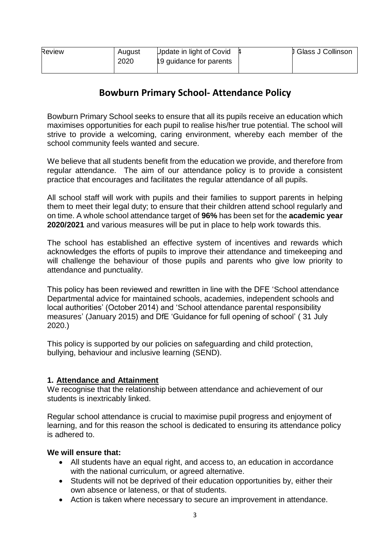| <b>Review</b> | August | Update in light of Covid | J Glass J Collinson |
|---------------|--------|--------------------------|---------------------|
|               | 2020   | 19 quidance for parents  |                     |
|               |        |                          |                     |

### **Bowburn Primary School- Attendance Policy**

Bowburn Primary School seeks to ensure that all its pupils receive an education which maximises opportunities for each pupil to realise his/her true potential. The school will strive to provide a welcoming, caring environment, whereby each member of the school community feels wanted and secure.

We believe that all students benefit from the education we provide, and therefore from regular attendance. The aim of our attendance policy is to provide a consistent practice that encourages and facilitates the regular attendance of all pupils.

All school staff will work with pupils and their families to support parents in helping them to meet their legal duty; to ensure that their children attend school regularly and on time. A whole school attendance target of **96%** has been set for the **academic year 2020/2021** and various measures will be put in place to help work towards this.

The school has established an effective system of incentives and rewards which acknowledges the efforts of pupils to improve their attendance and timekeeping and will challenge the behaviour of those pupils and parents who give low priority to attendance and punctuality.

This policy has been reviewed and rewritten in line with the DFE 'School attendance Departmental advice for maintained schools, academies, independent schools and local authorities' (October 2014) and 'School attendance parental responsibility measures' (January 2015) and DfE 'Guidance for full opening of school' ( 31 July 2020.)

This policy is supported by our policies on safeguarding and child protection, bullying, behaviour and inclusive learning (SEND).

#### **1. Attendance and Attainment**

We recognise that the relationship between attendance and achievement of our students is inextricably linked.

Regular school attendance is crucial to maximise pupil progress and enjoyment of learning, and for this reason the school is dedicated to ensuring its attendance policy is adhered to.

#### **We will ensure that:**

- All students have an equal right, and access to, an education in accordance with the national curriculum, or agreed alternative.
- Students will not be deprived of their education opportunities by, either their own absence or lateness, or that of students.
- Action is taken where necessary to secure an improvement in attendance.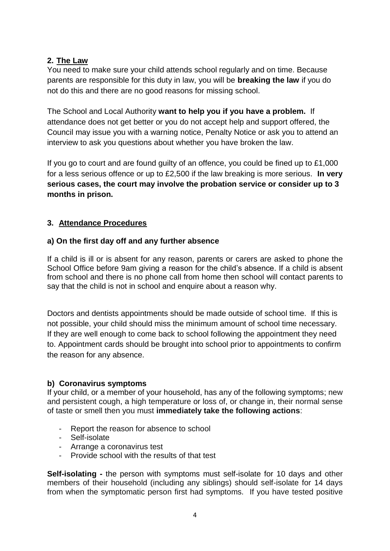#### **2. The Law**

You need to make sure your child attends school regularly and on time. Because parents are responsible for this duty in law, you will be **breaking the law** if you do not do this and there are no good reasons for missing school.

The School and Local Authority **want to help you if you have a problem.** If attendance does not get better or you do not accept help and support offered, the Council may issue you with a warning notice, Penalty Notice or ask you to attend an interview to ask you questions about whether you have broken the law.

If you go to court and are found guilty of an offence, you could be fined up to £1,000 for a less serious offence or up to £2,500 if the law breaking is more serious. **In very serious cases, the court may involve the probation service or consider up to 3 months in prison.**

#### **3. Attendance Procedures**

#### **a) On the first day off and any further absence**

If a child is ill or is absent for any reason, parents or carers are asked to phone the School Office before 9am giving a reason for the child's absence. If a child is absent from school and there is no phone call from home then school will contact parents to say that the child is not in school and enquire about a reason why.

Doctors and dentists appointments should be made outside of school time. If this is not possible, your child should miss the minimum amount of school time necessary. If they are well enough to come back to school following the appointment they need to. Appointment cards should be brought into school prior to appointments to confirm the reason for any absence.

#### **b) Coronavirus symptoms**

If your child, or a member of your household, has any of the following symptoms; new and persistent cough, a high temperature or loss of, or change in, their normal sense of taste or smell then you must **immediately take the following actions**:

- Report the reason for absence to school
- Self-isolate
- Arrange a coronavirus test
- Provide school with the results of that test

**Self-isolating -** the person with symptoms must self-isolate for 10 days and other members of their household (including any siblings) should self-isolate for 14 days from when the symptomatic person first had symptoms. If you have tested positive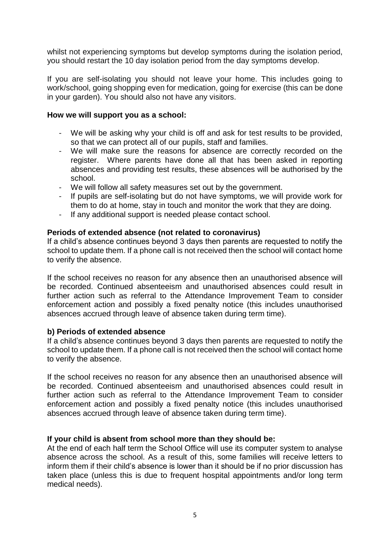whilst not experiencing symptoms but develop symptoms during the isolation period, you should restart the 10 day isolation period from the day symptoms develop.

If you are self-isolating you should not leave your home. This includes going to work/school, going shopping even for medication, going for exercise (this can be done in your garden). You should also not have any visitors.

#### **How we will support you as a school:**

- We will be asking why your child is off and ask for test results to be provided, so that we can protect all of our pupils, staff and families.
- We will make sure the reasons for absence are correctly recorded on the register. Where parents have done all that has been asked in reporting absences and providing test results, these absences will be authorised by the school.
- We will follow all safety measures set out by the government.
- If pupils are self-isolating but do not have symptoms, we will provide work for them to do at home, stay in touch and monitor the work that they are doing.
- If any additional support is needed please contact school.

#### **Periods of extended absence (not related to coronavirus)**

If a child's absence continues beyond 3 days then parents are requested to notify the school to update them. If a phone call is not received then the school will contact home to verify the absence.

If the school receives no reason for any absence then an unauthorised absence will be recorded. Continued absenteeism and unauthorised absences could result in further action such as referral to the Attendance Improvement Team to consider enforcement action and possibly a fixed penalty notice (this includes unauthorised absences accrued through leave of absence taken during term time).

#### **b) Periods of extended absence**

If a child's absence continues beyond 3 days then parents are requested to notify the school to update them. If a phone call is not received then the school will contact home to verify the absence.

If the school receives no reason for any absence then an unauthorised absence will be recorded. Continued absenteeism and unauthorised absences could result in further action such as referral to the Attendance Improvement Team to consider enforcement action and possibly a fixed penalty notice (this includes unauthorised absences accrued through leave of absence taken during term time).

#### **If your child is absent from school more than they should be:**

At the end of each half term the School Office will use its computer system to analyse absence across the school. As a result of this, some families will receive letters to inform them if their child's absence is lower than it should be if no prior discussion has taken place (unless this is due to frequent hospital appointments and/or long term medical needs).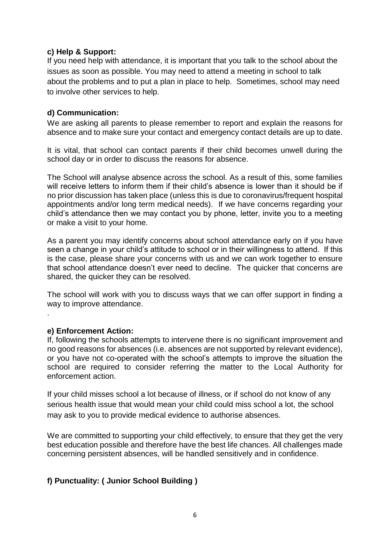#### **c) Help & Support:**

If you need help with attendance, it is important that you talk to the school about the issues as soon as possible. You may need to attend a meeting in school to talk about the problems and to put a plan in place to help. Sometimes, school may need to involve other services to help.

#### **d) Communication:**

We are asking all parents to please remember to report and explain the reasons for absence and to make sure your contact and emergency contact details are up to date.

It is vital, that school can contact parents if their child becomes unwell during the school day or in order to discuss the reasons for absence.

The School will analyse absence across the school. As a result of this, some families will receive letters to inform them if their child's absence is lower than it should be if no prior discussion has taken place (unless this is due to coronavirus/frequent hospital appointments and/or long term medical needs). If we have concerns regarding your child's attendance then we may contact you by phone, letter, invite you to a meeting or make a visit to your home.

As a parent you may identify concerns about school attendance early on if you have seen a change in your child's attitude to school or in their willingness to attend. If this is the case, please share your concerns with us and we can work together to ensure that school attendance doesn't ever need to decline. The quicker that concerns are shared, the quicker they can be resolved.

The school will work with you to discuss ways that we can offer support in finding a way to improve attendance.

#### **e) Enforcement Action:**

.

If, following the schools attempts to intervene there is no significant improvement and no good reasons for absences (i.e. absences are not supported by relevant evidence), or you have not co-operated with the school's attempts to improve the situation the school are required to consider referring the matter to the Local Authority for enforcement action.

If your child misses school a lot because of illness, or if school do not know of any serious health issue that would mean your child could miss school a lot, the school may ask to you to provide medical evidence to authorise absences.

We are committed to supporting your child effectively, to ensure that they get the very best education possible and therefore have the best life chances. All challenges made concerning persistent absences, will be handled sensitively and in confidence.

#### **f) Punctuality: ( Junior School Building )**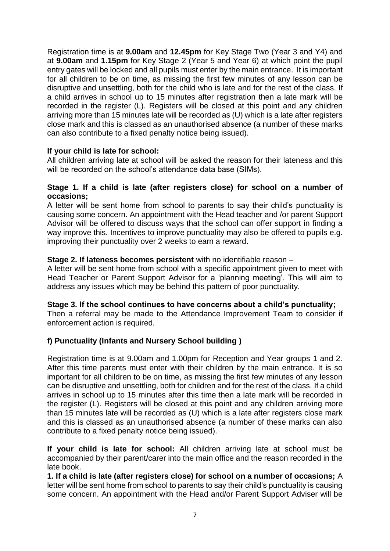Registration time is at **9.00am** and **12.45pm** for Key Stage Two (Year 3 and Y4) and at **9.00am** and **1.15pm** for Key Stage 2 (Year 5 and Year 6) at which point the pupil entry gates will be locked and all pupils must enter by the main entrance. It is important for all children to be on time, as missing the first few minutes of any lesson can be disruptive and unsettling, both for the child who is late and for the rest of the class. If a child arrives in school up to 15 minutes after registration then a late mark will be recorded in the register (L). Registers will be closed at this point and any children arriving more than 15 minutes late will be recorded as (U) which is a late after registers close mark and this is classed as an unauthorised absence (a number of these marks can also contribute to a fixed penalty notice being issued).

#### **If your child is late for school:**

All children arriving late at school will be asked the reason for their lateness and this will be recorded on the school's attendance data base (SIMs).

#### **Stage 1. If a child is late (after registers close) for school on a number of occasions;**

A letter will be sent home from school to parents to say their child's punctuality is causing some concern. An appointment with the Head teacher and /or parent Support Advisor will be offered to discuss ways that the school can offer support in finding a way improve this. Incentives to improve punctuality may also be offered to pupils e.g. improving their punctuality over 2 weeks to earn a reward.

#### **Stage 2. If lateness becomes persistent** with no identifiable reason –

A letter will be sent home from school with a specific appointment given to meet with Head Teacher or Parent Support Advisor for a 'planning meeting'. This will aim to address any issues which may be behind this pattern of poor punctuality.

#### **Stage 3. If the school continues to have concerns about a child's punctuality;**

Then a referral may be made to the Attendance Improvement Team to consider if enforcement action is required.

#### **f) Punctuality (Infants and Nursery School building )**

Registration time is at 9.00am and 1.00pm for Reception and Year groups 1 and 2. After this time parents must enter with their children by the main entrance. It is so important for all children to be on time, as missing the first few minutes of any lesson can be disruptive and unsettling, both for children and for the rest of the class. If a child arrives in school up to 15 minutes after this time then a late mark will be recorded in the register (L). Registers will be closed at this point and any children arriving more than 15 minutes late will be recorded as (U) which is a late after registers close mark and this is classed as an unauthorised absence (a number of these marks can also contribute to a fixed penalty notice being issued).

**If your child is late for school:** All children arriving late at school must be accompanied by their parent/carer into the main office and the reason recorded in the late book.

**1. If a child is late (after registers close) for school on a number of occasions;** A letter will be sent home from school to parents to say their child's punctuality is causing some concern. An appointment with the Head and/or Parent Support Adviser will be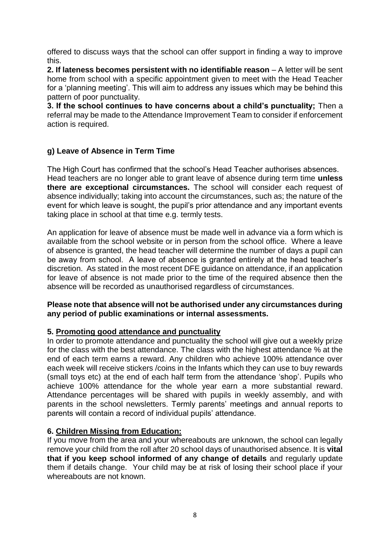offered to discuss ways that the school can offer support in finding a way to improve this.

**2. If lateness becomes persistent with no identifiable reason** – A letter will be sent home from school with a specific appointment given to meet with the Head Teacher for a 'planning meeting'. This will aim to address any issues which may be behind this pattern of poor punctuality.

**3. If the school continues to have concerns about a child's punctuality;** Then a referral may be made to the Attendance Improvement Team to consider if enforcement action is required.

#### **g) Leave of Absence in Term Time**

The High Court has confirmed that the school's Head Teacher authorises absences. Head teachers are no longer able to grant leave of absence during term time **unless there are exceptional circumstances.** The school will consider each request of absence individually; taking into account the circumstances, such as; the nature of the event for which leave is sought, the pupil's prior attendance and any important events taking place in school at that time e.g. termly tests.

An application for leave of absence must be made well in advance via a form which is available from the school website or in person from the school office. Where a leave of absence is granted, the head teacher will determine the number of days a pupil can be away from school. A leave of absence is granted entirely at the head teacher's discretion. As stated in the most recent DFE guidance on attendance, if an application for leave of absence is not made prior to the time of the required absence then the absence will be recorded as unauthorised regardless of circumstances.

#### **Please note that absence will not be authorised under any circumstances during any period of public examinations or internal assessments.**

#### **5. Promoting good attendance and punctuality**

In order to promote attendance and punctuality the school will give out a weekly prize for the class with the best attendance. The class with the highest attendance % at the end of each term earns a reward. Any children who achieve 100% attendance over each week will receive stickers /coins in the Infants which they can use to buy rewards (small toys etc) at the end of each half term from the attendance 'shop'. Pupils who achieve 100% attendance for the whole year earn a more substantial reward. Attendance percentages will be shared with pupils in weekly assembly, and with parents in the school newsletters. Termly parents' meetings and annual reports to parents will contain a record of individual pupils' attendance.

#### **6. Children Missing from Education:**

If you move from the area and your whereabouts are unknown, the school can legally remove your child from the roll after 20 school days of unauthorised absence. It is **vital that if you keep school informed of any change of details** and regularly update them if details change. Your child may be at risk of losing their school place if your whereabouts are not known.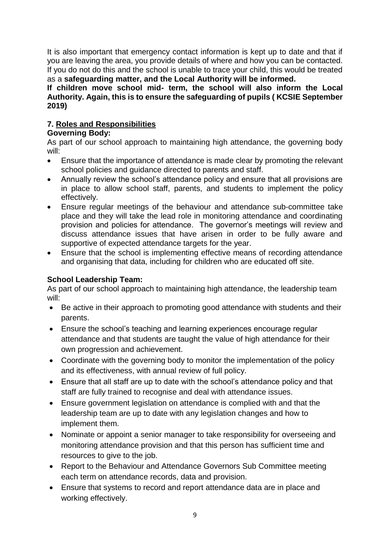It is also important that emergency contact information is kept up to date and that if you are leaving the area, you provide details of where and how you can be contacted. If you do not do this and the school is unable to trace your child, this would be treated as a **safeguarding matter, and the Local Authority will be informed.** 

#### **If children move school mid- term, the school will also inform the Local Authority. Again, this is to ensure the safeguarding of pupils ( KCSIE September 2019)**

#### **7. Roles and Responsibilities**

#### **Governing Body:**

As part of our school approach to maintaining high attendance, the governing body will:

- Ensure that the importance of attendance is made clear by promoting the relevant school policies and guidance directed to parents and staff.
- Annually review the school's attendance policy and ensure that all provisions are in place to allow school staff, parents, and students to implement the policy effectively.
- Ensure regular meetings of the behaviour and attendance sub-committee take place and they will take the lead role in monitoring attendance and coordinating provision and policies for attendance. The governor's meetings will review and discuss attendance issues that have arisen in order to be fully aware and supportive of expected attendance targets for the year.
- Ensure that the school is implementing effective means of recording attendance and organising that data, including for children who are educated off site.

#### **School Leadership Team:**

As part of our school approach to maintaining high attendance, the leadership team will:

- Be active in their approach to promoting good attendance with students and their parents.
- Ensure the school's teaching and learning experiences encourage regular attendance and that students are taught the value of high attendance for their own progression and achievement.
- Coordinate with the governing body to monitor the implementation of the policy and its effectiveness, with annual review of full policy.
- Ensure that all staff are up to date with the school's attendance policy and that staff are fully trained to recognise and deal with attendance issues.
- Ensure government legislation on attendance is complied with and that the leadership team are up to date with any legislation changes and how to implement them.
- Nominate or appoint a senior manager to take responsibility for overseeing and monitoring attendance provision and that this person has sufficient time and resources to give to the job.
- Report to the Behaviour and Attendance Governors Sub Committee meeting each term on attendance records, data and provision.
- Ensure that systems to record and report attendance data are in place and working effectively.